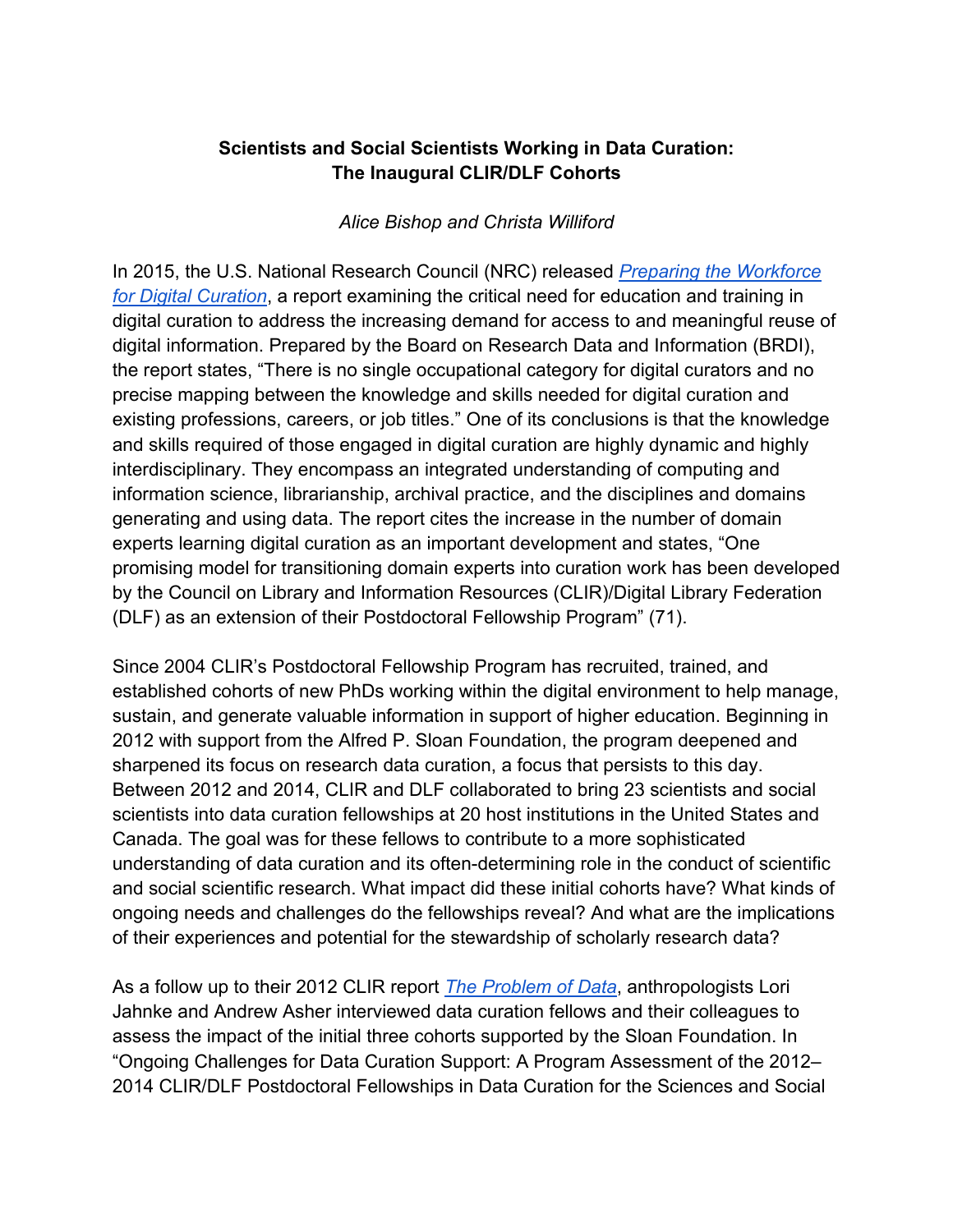# **Scientists and Social Scientists Working in Data Curation: The Inaugural CLIR/DLF Cohorts**

### *Alice Bishop and Christa Williford*

In 2015, the U.S. National Research Council (NRC) released *Preparing the Workforce for Digital Curation*, a report examining the critical need for education and training in digital curation to address the increasing demand for access to and meaningful reuse of digital information. Prepared by the Board on Research Data and Information (BRDI), the report states, "There is no single occupational category for digital curators and no precise mapping between the knowledge and skills needed for digital curation and existing professions, careers, or job titles." One of its conclusions is that the knowledge and skills required of those engaged in digital curation are highly dynamic and highly interdisciplinary. They encompass an integrated understanding of computing and information science, librarianship, archival practice, and the disciplines and domains generating and using data. The report cites the increase in the number of domain experts learning digital curation as an important development and states, "One promising model for transitioning domain experts into curation work has been developed by the Council on Library and Information Resources (CLIR)/Digital Library Federation (DLF) as an extension of their Postdoctoral Fellowship Program" (71).

Since 2004 CLIR's Postdoctoral Fellowship Program has recruited, trained, and established cohorts of new PhDs working within the digital environment to help manage, sustain, and generate valuable information in support of higher education. Beginning in 2012 with support from the Alfred P. Sloan Foundation, the program deepened and sharpened its focus on research data curation, a focus that persists to this day. Between 2012 and 2014, CLIR and DLF collaborated to bring 23 scientists and social scientists into data curation fellowships at 20 host institutions in the United States and Canada. The goal was for these fellows to contribute to a more sophisticated understanding of data curation and its often-determining role in the conduct of scientific and social scientific research. What impact did these initial cohorts have? What kinds of ongoing needs and challenges do the fellowships reveal? And what are the implications of their experiences and potential for the stewardship of scholarly research data?

As a follow up to their 2012 CLIR report *The Problem of Data*, anthropologists Lori Jahnke and Andrew Asher interviewed data curation fellows and their colleagues to assess the impact of the initial three cohorts supported by the Sloan Foundation. In "Ongoing Challenges for Data Curation Support: A Program Assessment of the 2012– 2014 CLIR/DLF Postdoctoral Fellowships in Data Curation for the Sciences and Social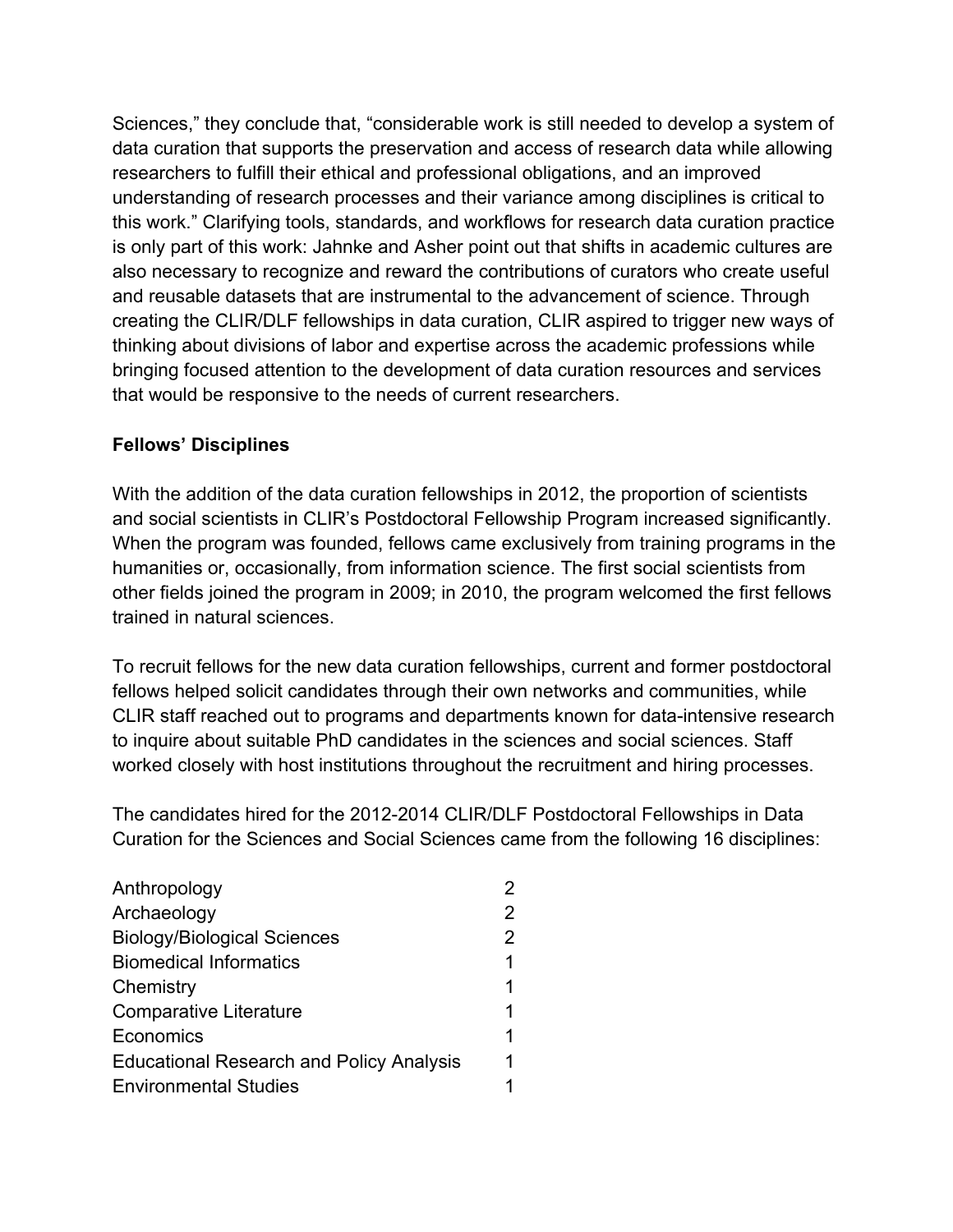Sciences," they conclude that, "considerable work is still needed to develop a system of data curation that supports the preservation and access of research data while allowing researchers to fulfill their ethical and professional obligations, and an improved understanding of research processes and their variance among disciplines is critical to this work." Clarifying tools, standards, and workflows for research data curation practice is only part of this work: Jahnke and Asher point out that shifts in academic cultures are also necessary to recognize and reward the contributions of curators who create useful and reusable datasets that are instrumental to the advancement of science. Through creating the CLIR/DLF fellowships in data curation, CLIR aspired to trigger new ways of thinking about divisions of labor and expertise across the academic professions while bringing focused attention to the development of data curation resources and services that would be responsive to the needs of current researchers.

# **Fellows' Disciplines**

With the addition of the data curation fellowships in 2012, the proportion of scientists and social scientists in CLIR's Postdoctoral Fellowship Program increased significantly. When the program was founded, fellows came exclusively from training programs in the humanities or, occasionally, from information science. The first social scientists from other fields joined the program in 2009; in 2010, the program welcomed the first fellows trained in natural sciences.

To recruit fellows for the new data curation fellowships, current and former postdoctoral fellows helped solicit candidates through their own networks and communities, while CLIR staff reached out to programs and departments known for data-intensive research to inquire about suitable PhD candidates in the sciences and social sciences. Staff worked closely with host institutions throughout the recruitment and hiring processes.

The candidates hired for the 2012-2014 CLIR/DLF Postdoctoral Fellowships in Data Curation for the Sciences and Social Sciences came from the following 16 disciplines:

| Anthropology                                    | 2 |
|-------------------------------------------------|---|
| Archaeology                                     | 2 |
| <b>Biology/Biological Sciences</b>              | 2 |
| <b>Biomedical Informatics</b>                   | 1 |
| Chemistry                                       | 1 |
| <b>Comparative Literature</b>                   | 1 |
| Economics                                       | 1 |
| <b>Educational Research and Policy Analysis</b> | 1 |
| <b>Environmental Studies</b>                    |   |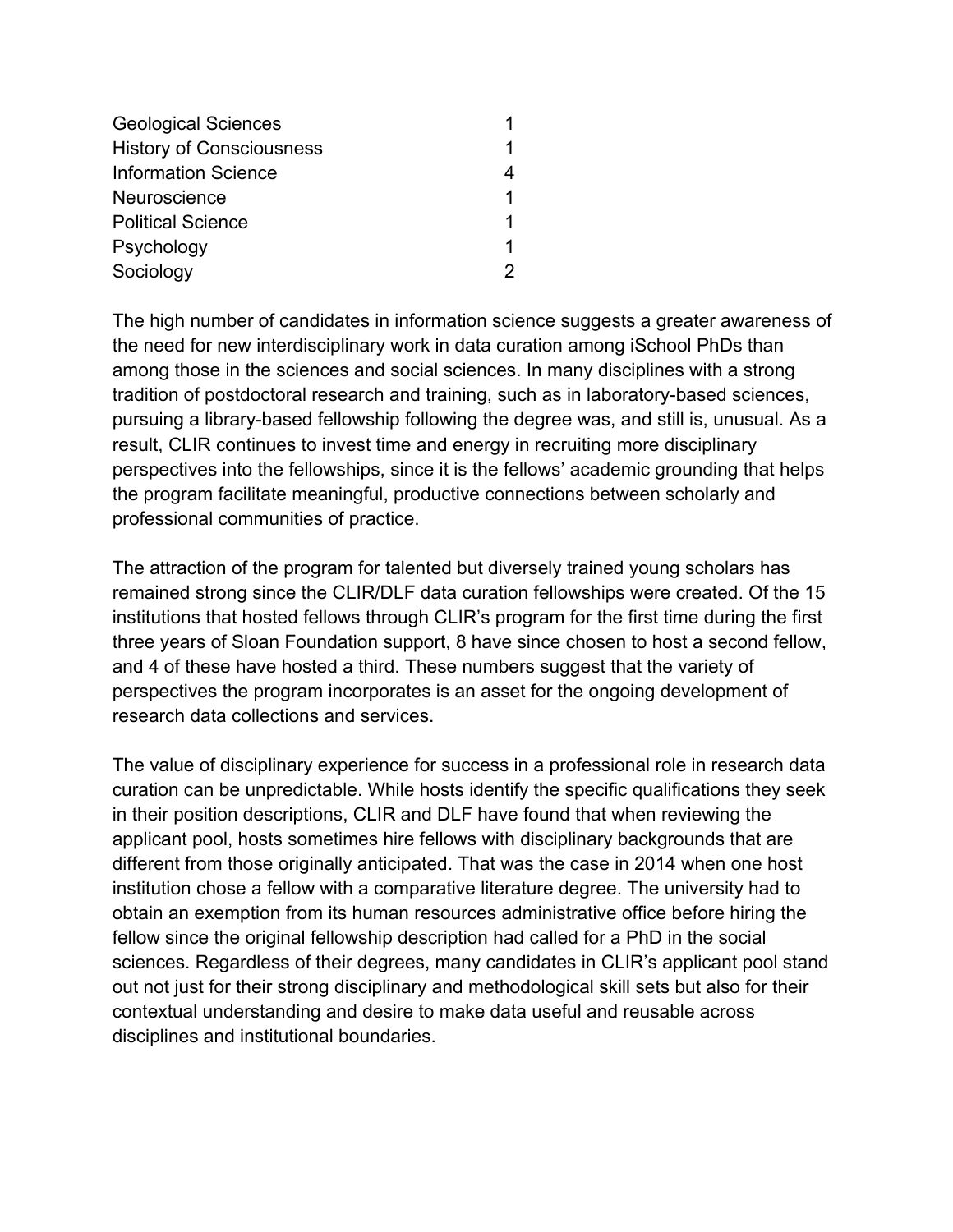| <b>Geological Sciences</b>      |   |
|---------------------------------|---|
| <b>History of Consciousness</b> |   |
| <b>Information Science</b>      |   |
| Neuroscience                    | 1 |
| <b>Political Science</b>        | 1 |
| Psychology                      | 1 |
| Sociology                       |   |

The high number of candidates in information science suggests a greater awareness of the need for new interdisciplinary work in data curation among iSchool PhDs than among those in the sciences and social sciences. In many disciplines with a strong tradition of postdoctoral research and training, such as in laboratory-based sciences, pursuing a library-based fellowship following the degree was, and still is, unusual. As a result, CLIR continues to invest time and energy in recruiting more disciplinary perspectives into the fellowships, since it is the fellows' academic grounding that helps the program facilitate meaningful, productive connections between scholarly and professional communities of practice.

The attraction of the program for talented but diversely trained young scholars has remained strong since the CLIR/DLF data curation fellowships were created. Of the 15 institutions that hosted fellows through CLIR's program for the first time during the first three years of Sloan Foundation support, 8 have since chosen to host a second fellow, and 4 of these have hosted a third. These numbers suggest that the variety of perspectives the program incorporates is an asset for the ongoing development of research data collections and services.

The value of disciplinary experience for success in a professional role in research data curation can be unpredictable. While hosts identify the specific qualifications they seek in their position descriptions, CLIR and DLF have found that when reviewing the applicant pool, hosts sometimes hire fellows with disciplinary backgrounds that are different from those originally anticipated. That was the case in 2014 when one host institution chose a fellow with a comparative literature degree. The university had to obtain an exemption from its human resources administrative office before hiring the fellow since the original fellowship description had called for a PhD in the social sciences. Regardless of their degrees, many candidates in CLIR's applicant pool stand out not just for their strong disciplinary and methodological skill sets but also for their contextual understanding and desire to make data useful and reusable across disciplines and institutional boundaries.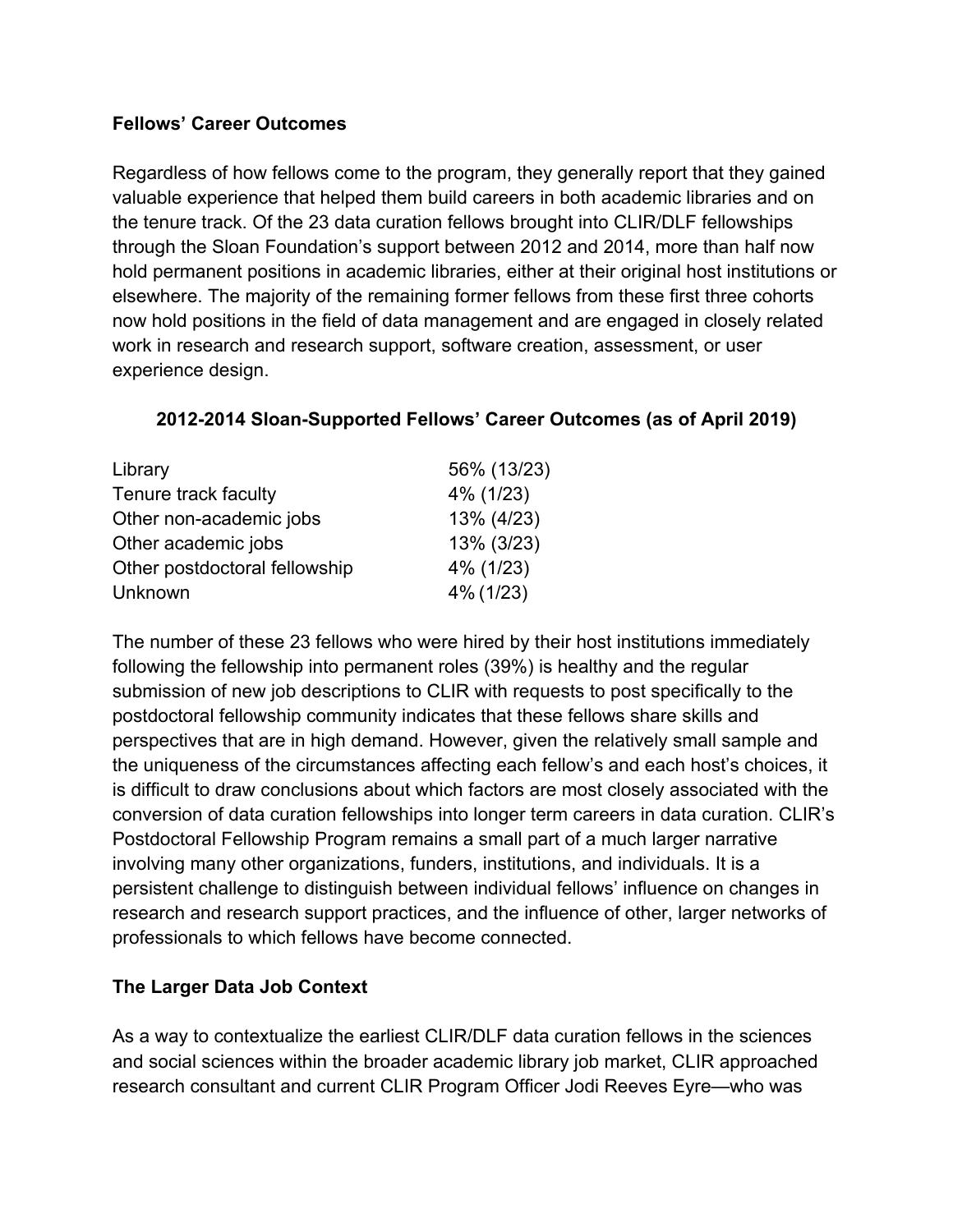#### **Fellows' Career Outcomes**

Regardless of how fellows come to the program, they generally report that they gained valuable experience that helped them build careers in both academic libraries and on the tenure track. Of the 23 data curation fellows brought into CLIR/DLF fellowships through the Sloan Foundation's support between 2012 and 2014, more than half now hold permanent positions in academic libraries, either at their original host institutions or elsewhere. The majority of the remaining former fellows from these first three cohorts now hold positions in the field of data management and are engaged in closely related work in research and research support, software creation, assessment, or user experience design.

# **2012-2014 Sloan-Supported Fellows' Career Outcomes (as of April 2019)**

| Library                       | 56% (13/23) |
|-------------------------------|-------------|
| Tenure track faculty          | 4% (1/23)   |
| Other non-academic jobs       | 13% (4/23)  |
| Other academic jobs           | 13% (3/23)  |
| Other postdoctoral fellowship | 4% (1/23)   |
| Unknown                       | 4% (1/23)   |

The number of these 23 fellows who were hired by their host institutions immediately following the fellowship into permanent roles (39%) is healthy and the regular submission of new job descriptions to CLIR with requests to post specifically to the postdoctoral fellowship community indicates that these fellows share skills and perspectives that are in high demand. However, given the relatively small sample and the uniqueness of the circumstances affecting each fellow's and each host's choices, it is difficult to draw conclusions about which factors are most closely associated with the conversion of data curation fellowships into longer term careers in data curation. CLIR's Postdoctoral Fellowship Program remains a small part of a much larger narrative involving many other organizations, funders, institutions, and individuals. It is a persistent challenge to distinguish between individual fellows' influence on changes in research and research support practices, and the influence of other, larger networks of professionals to which fellows have become connected.

# **The Larger Data Job Context**

As a way to contextualize the earliest CLIR/DLF data curation fellows in the sciences and social sciences within the broader academic library job market, CLIR approached research consultant and current CLIR Program Officer Jodi Reeves Eyre—who was